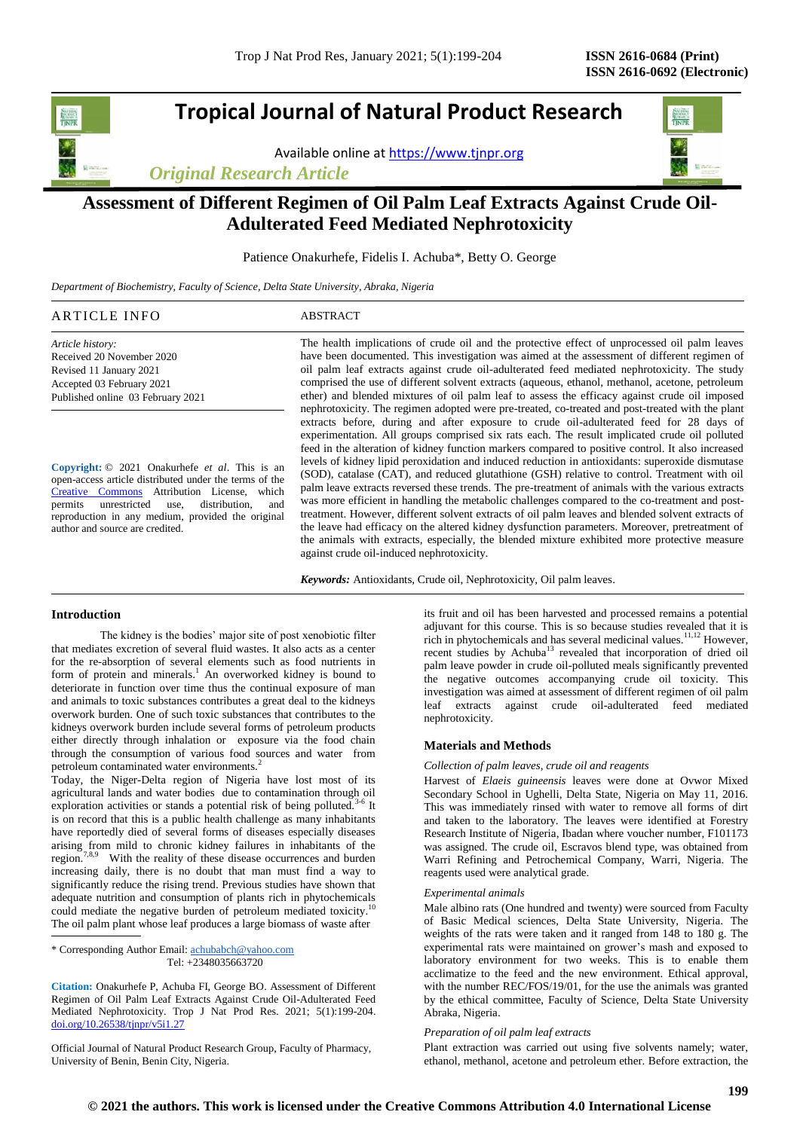# **Tropical Journal of Natural Product Research**

Available online a[t https://www.tjnpr.org](https://www.tjnpr.org/)

*Original Research Article*



## **Assessment of Different Regimen of Oil Palm Leaf Extracts Against Crude Oil-Adulterated Feed Mediated Nephrotoxicity**

Patience Onakurhefe, Fidelis I. Achuba\*, Betty O. George

*Department of Biochemistry, Faculty of Science, Delta State University, Abraka, Nigeria*

| ARTICLE INFO              | ABSTRACT                                                                                      |
|---------------------------|-----------------------------------------------------------------------------------------------|
| Article history:          | The health implications of crude oil and the protective effect of unprocessed oil palm leaves |
| Received 20 November 2020 | have been documented. This investigation was aimed at the assessment of different regimen of  |
| Revised 11 January 2021   | oil palm leaf extracts against crude oil-adulterated feed mediated nephrotoxicity. The study  |

**Copyright:** © 2021 Onakurhefe *et al*. This is an open-access article distributed under the terms of the [Creative Commons](https://creativecommons.org/licenses/by/4.0/) Attribution License, which permits unrestricted use, distribution, and reproduction in any medium, provided the original author and source are credited.

oil palm leaf extracts against crude oil-adulterated feed mediated nephrotoxicity. The study comprised the use of different solvent extracts (aqueous, ethanol, methanol, acetone, petroleum ether) and blended mixtures of oil palm leaf to assess the efficacy against crude oil imposed nephrotoxicity. The regimen adopted were pre-treated, co-treated and post-treated with the plant extracts before, during and after exposure to crude oil-adulterated feed for 28 days of experimentation. All groups comprised six rats each. The result implicated crude oil polluted feed in the alteration of kidney function markers compared to positive control. It also increased levels of kidney lipid peroxidation and induced reduction in antioxidants: superoxide dismutase (SOD), catalase (CAT), and reduced glutathione (GSH) relative to control. Treatment with oil palm leave extracts reversed these trends. The pre-treatment of animals with the various extracts was more efficient in handling the metabolic challenges compared to the co-treatment and posttreatment. However, different solvent extracts of oil palm leaves and blended solvent extracts of the leave had efficacy on the altered kidney dysfunction parameters. Moreover, pretreatment of the animals with extracts, especially, the blended mixture exhibited more protective measure against crude oil-induced nephrotoxicity.

*Keywords:* Antioxidants, Crude oil, Nephrotoxicity, Oil palm leaves.

## **Introduction**

Accepted 03 February 2021 Published online 03 February 2021

 The kidney is the bodies' major site of post xenobiotic filter that mediates excretion of several fluid wastes. It also acts as a center for the re-absorption of several elements such as food nutrients in form of protein and minerals.<sup>1</sup> An overworked kidney is bound to deteriorate in function over time thus the continual exposure of man and animals to toxic substances contributes a great deal to the kidneys overwork burden. One of such toxic substances that contributes to the kidneys overwork burden include several forms of petroleum products either directly through inhalation or exposure via the food chain through the consumption of various food sources and water from petroleum contaminated water environments.<sup>2</sup>

Today, the Niger-Delta region of Nigeria have lost most of its agricultural lands and water bodies due to contamination through oil exploration activities or stands a potential risk of being polluted.<sup>3-6</sup> It is on record that this is a public health challenge as many inhabitants have reportedly died of several forms of diseases especially diseases arising from mild to chronic kidney failures in inhabitants of the region.<sup>7,8,9</sup> With the reality of these disease occurrences and burden increasing daily, there is no doubt that man must find a way to significantly reduce the rising trend. Previous studies have shown that adequate nutrition and consumption of plants rich in phytochemicals<br>
could mediate the possible hurden of patroleum mediated toxicity.<sup>10</sup> could mediate the negative burden of petroleum mediated toxicity. The oil palm plant whose leaf produces a large biomass of waste after

\* Corresponding Author Email: [achubabch@yahoo.com](mailto:achubabch@yahoo.com) Tel: +2348035663720

**Citation:** Onakurhefe P, Achuba FI, George BO. Assessment of Different Regimen of Oil Palm Leaf Extracts Against Crude Oil-Adulterated Feed Mediated Nephrotoxicity. Trop J Nat Prod Res. 2021; 5(1):199-204. [doi.org/10.26538/tjnpr/v5i1.2](http://www.doi.org/10.26538/tjnpr/v1i4.5)7

Official Journal of Natural Product Research Group, Faculty of Pharmacy, University of Benin, Benin City, Nigeria.

its fruit and oil has been harvested and processed remains a potential adjuvant for this course. This is so because studies revealed that it is rich in phytochemicals and has several medicinal values.<sup>11,12</sup> However, recent studies by Achuba<sup>13</sup> revealed that incorporation of dried oil palm leave powder in crude oil-polluted meals significantly prevented the negative outcomes accompanying crude oil toxicity. This investigation was aimed at assessment of different regimen of oil palm leaf extracts against crude oil-adulterated feed mediated nephrotoxicity.

### **Materials and Methods**

#### *Collection of palm leaves, crude oil and reagents*

Harvest of *Elaeis guineensis* leaves were done at Ovwor Mixed Secondary School in Ughelli, Delta State, Nigeria on May 11, 2016. This was immediately rinsed with water to remove all forms of dirt and taken to the laboratory. The leaves were identified at Forestry Research Institute of Nigeria, Ibadan where voucher number, F101173 was assigned. The crude oil, Escravos blend type, was obtained from Warri Refining and Petrochemical Company, Warri, Nigeria. The reagents used were analytical grade.

## *Experimental animals*

Male albino rats (One hundred and twenty) were sourced from Faculty of Basic Medical sciences, Delta State University, Nigeria. The weights of the rats were taken and it ranged from 148 to 180 g. The experimental rats were maintained on grower's mash and exposed to laboratory environment for two weeks. This is to enable them acclimatize to the feed and the new environment. Ethical approval, with the number REC/FOS/19/01, for the use the animals was granted by the ethical committee, Faculty of Science, Delta State University Abraka, Nigeria.

#### *Preparation of oil palm leaf extracts*

Plant extraction was carried out using five solvents namely; water, ethanol, methanol, acetone and petroleum ether. Before extraction, the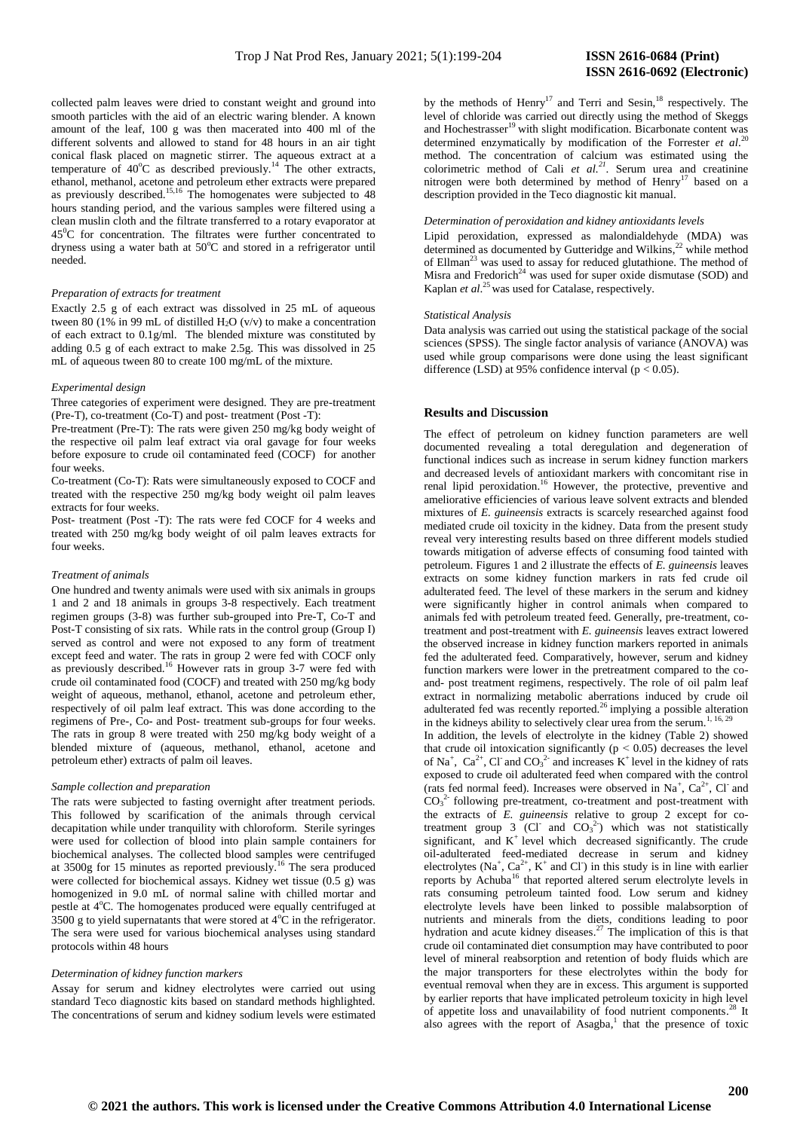collected palm leaves were dried to constant weight and ground into smooth particles with the aid of an electric waring blender. A known amount of the leaf, 100 g was then macerated into 400 ml of the different solvents and allowed to stand for 48 hours in an air tight conical flask placed on magnetic stirrer. The aqueous extract at a temperature of  $40^{\circ}$ C as described previously.<sup>14</sup> The other extracts, ethanol, methanol, acetone and petroleum ether extracts were prepared as previously described.<sup>15,16</sup> The homogenates were subjected to 48 hours standing period, and the various samples were filtered using a clean muslin cloth and the filtrate transferred to a rotary evaporator at  $45^{\circ}$ C for concentration. The filtrates were further concentrated to dryness using a water bath at 50°C and stored in a refrigerator until needed.

#### *Preparation of extracts for treatment*

Exactly 2.5 g of each extract was dissolved in 25 mL of aqueous tween 80 (1% in 99 mL of distilled  $H_2O$  (v/v) to make a concentration of each extract to 0.1g/ml. The blended mixture was constituted by adding 0.5 g of each extract to make 2.5g. This was dissolved in 25 mL of aqueous tween 80 to create 100 mg/mL of the mixture.

#### *Experimental design*

Three categories of experiment were designed. They are pre-treatment (Pre-T), co-treatment (Co-T) and post- treatment (Post -T):

Pre-treatment (Pre-T): The rats were given 250 mg/kg body weight of the respective oil palm leaf extract via oral gavage for four weeks before exposure to crude oil contaminated feed (COCF) for another four weeks.

Co-treatment (Co-T): Rats were simultaneously exposed to COCF and treated with the respective 250 mg/kg body weight oil palm leaves extracts for four weeks.

Post- treatment (Post -T): The rats were fed COCF for 4 weeks and treated with 250 mg/kg body weight of oil palm leaves extracts for four weeks.

#### *Treatment of animals*

One hundred and twenty animals were used with six animals in groups 1 and 2 and 18 animals in groups 3-8 respectively. Each treatment regimen groups (3-8) was further sub-grouped into Pre-T, Co-T and Post-T consisting of six rats. While rats in the control group (Group I) served as control and were not exposed to any form of treatment except feed and water. The rats in group 2 were fed with COCF only as previously described.<sup>16</sup> However rats in group 3-7 were fed with crude oil contaminated food (COCF) and treated with 250 mg/kg body weight of aqueous, methanol, ethanol, acetone and petroleum ether, respectively of oil palm leaf extract. This was done according to the regimens of Pre-, Co- and Post- treatment sub-groups for four weeks. The rats in group 8 were treated with 250 mg/kg body weight of a blended mixture of (aqueous, methanol, ethanol, acetone and petroleum ether) extracts of palm oil leaves.

#### *Sample collection and preparation*

The rats were subjected to fasting overnight after treatment periods. This followed by scarification of the animals through cervical decapitation while under tranquility with chloroform. Sterile syringes were used for collection of blood into plain sample containers for biochemical analyses. The collected blood samples were centrifuged at 3500g for 15 minutes as reported previously.<sup>16</sup> The sera produced were collected for biochemical assays. Kidney wet tissue (0.5 g) was homogenized in 9.0 mL of normal saline with chilled mortar and pestle at 4°C. The homogenates produced were equally centrifuged at  $3500$  g to yield supernatants that were stored at  $4^{\circ}$ C in the refrigerator. The sera were used for various biochemical analyses using standard protocols within 48 hours

## *Determination of kidney function markers*

Assay for serum and kidney electrolytes were carried out using standard Teco diagnostic kits based on standard methods highlighted. The concentrations of serum and kidney sodium levels were estimated

by the methods of Henry<sup>17</sup> and Terri and Sesin,<sup>18</sup> respectively. The level of chloride was carried out directly using the method of Skeggs and Hochestrasser<sup>19</sup> with slight modification. Bicarbonate content was determined enzymatically by modification of the Forrester *et al*. 20 method. The concentration of calcium was estimated using the colorimetric method of Cali *et al.<sup>21</sup>* . Serum urea and creatinine nitrogen were both determined by method of Henry<sup>17</sup> based on a description provided in the Teco diagnostic kit manual.

#### *Determination of peroxidation and kidney antioxidants levels*

Lipid peroxidation, expressed as malondialdehyde (MDA) was determined as documented by Gutteridge and Wilkins,<sup>22</sup> while method of Ellman<sup>23</sup> was used to assay for reduced glutathione. The method of Misra and Fredorich<sup>24</sup> was used for super oxide dismutase (SOD) and Kaplan *et al.*<sup>25</sup> was used for Catalase, respectively.

## *Statistical Analysis*

Data analysis was carried out using the statistical package of the social sciences (SPSS). The single factor analysis of variance (ANOVA) was used while group comparisons were done using the least significant difference (LSD) at 95% confidence interval ( $p < 0.05$ ).

## **Results and** D**iscussion**

The effect of petroleum on kidney function parameters are well documented revealing a total deregulation and degeneration of functional indices such as increase in serum kidney function markers and decreased levels of antioxidant markers with concomitant rise in renal lipid peroxidation.<sup>16</sup> However, the protective, preventive and ameliorative efficiencies of various leave solvent extracts and blended mixtures of *E. guineensis* extracts is scarcely researched against food mediated crude oil toxicity in the kidney. Data from the present study reveal very interesting results based on three different models studied towards mitigation of adverse effects of consuming food tainted with petroleum. Figures 1 and 2 illustrate the effects of *E. guineensis* leaves extracts on some kidney function markers in rats fed crude oil adulterated feed. The level of these markers in the serum and kidney were significantly higher in control animals when compared to animals fed with petroleum treated feed. Generally, pre-treatment, cotreatment and post-treatment with *E. guineensis* leaves extract lowered the observed increase in kidney function markers reported in animals fed the adulterated feed. Comparatively, however, serum and kidney function markers were lower in the pretreatment compared to the coand- post treatment regimens, respectively. The role of oil palm leaf extract in normalizing metabolic aberrations induced by crude oil adulterated fed was recently reported.<sup>26</sup> implying a possible alteration in the kidneys ability to selectively clear urea from the serum.<sup>1, 16, 2</sup>

In addition, the levels of electrolyte in the kidney (Table 2) showed that crude oil intoxication significantly ( $p < 0.05$ ) decreases the level of Na<sup>+</sup>, Ca<sup>2+</sup>, Cl and CO<sub>3</sub><sup>2</sup> and increases K<sup>+</sup> level in the kidney of rats exposed to crude oil adulterated feed when compared with the control (rats fed normal feed). Increases were observed in  $Na^+$ ,  $Ca^{2+}$ , Cl and  $CO<sub>3</sub><sup>2</sup>$  following pre-treatment, co-treatment and post-treatment with the extracts of *E. guineensis* relative to group 2 except for cotreatment group  $3$  (Cl and  $CO<sub>3</sub><sup>2</sup>$ ) which was not statistically significant, and  $K^+$  level which decreased significantly. The crude oil-adulterated feed-mediated decrease in serum and kidney electrolytes (Na<sup>+</sup>, Ca<sup>2+</sup>, K<sup>+</sup> and Cl) in this study is in line with earlier reports by Achuba<sup>16</sup> that reported altered serum electrolyte levels in rats consuming petroleum tainted food. Low serum and kidney electrolyte levels have been linked to possible malabsorption of nutrients and minerals from the diets, conditions leading to poor hydration and acute kidney diseases.<sup>27</sup> The implication of this is that crude oil contaminated diet consumption may have contributed to poor level of mineral reabsorption and retention of body fluids which are the major transporters for these electrolytes within the body for eventual removal when they are in excess. This argument is supported by earlier reports that have implicated petroleum toxicity in high level of appetite loss and unavailability of food nutrient components. <sup>28</sup> It also agrees with the report of Asagba,<sup>1</sup> that the presence of toxic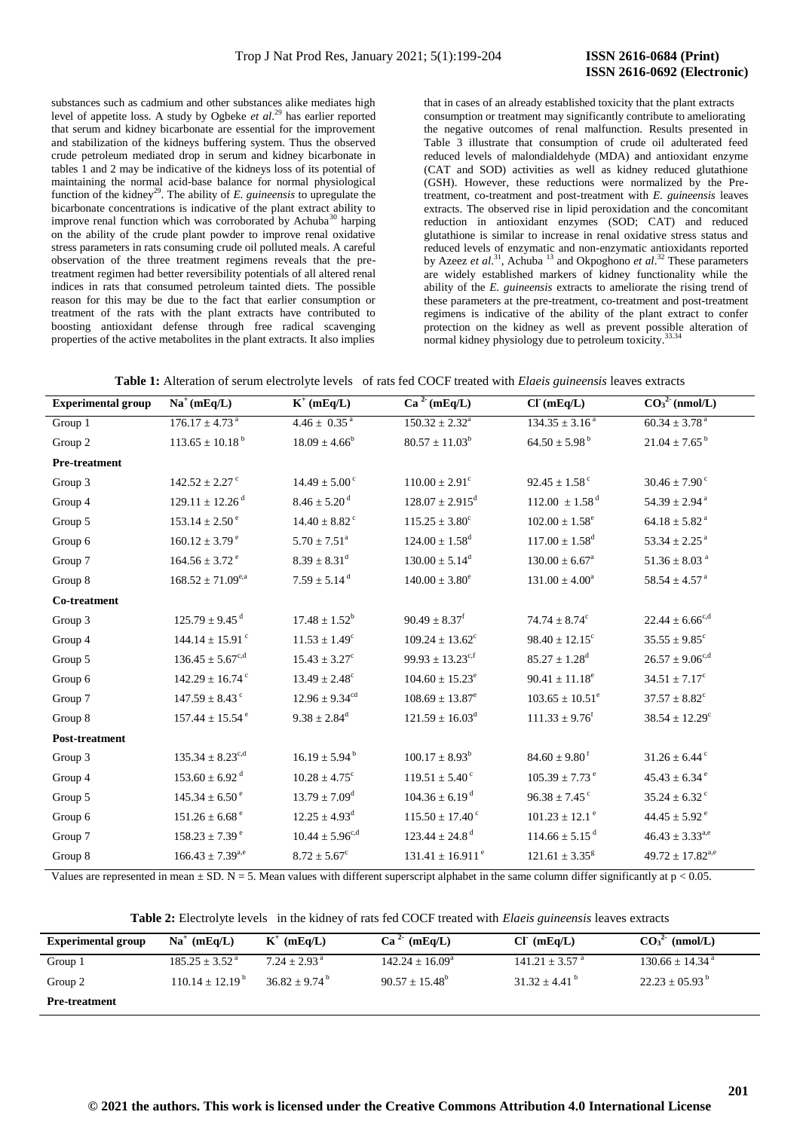substances such as cadmium and other substances alike mediates high level of appetite loss. A study by Ogbeke *et al*. <sup>29</sup> has earlier reported that serum and kidney bicarbonate are essential for the improvement and stabilization of the kidneys buffering system. Thus the observed crude petroleum mediated drop in serum and kidney bicarbonate in tables 1 and 2 may be indicative of the kidneys loss of its potential of maintaining the normal acid-base balance for normal physiological function of the kidney<sup>29</sup>. The ability of *E. guineensis* to upregulate the bicarbonate concentrations is indicative of the plant extract ability to improve renal function which was corroborated by Achuba $30$  harping on the ability of the crude plant powder to improve renal oxidative stress parameters in rats consuming crude oil polluted meals. A careful observation of the three treatment regimens reveals that the pretreatment regimen had better reversibility potentials of all altered renal indices in rats that consumed petroleum tainted diets. The possible reason for this may be due to the fact that earlier consumption or treatment of the rats with the plant extracts have contributed to boosting antioxidant defense through free radical scavenging properties of the active metabolites in the plant extracts. It also implies

that in cases of an already established toxicity that the plant extracts consumption or treatment may significantly contribute to ameliorating the negative outcomes of renal malfunction. Results presented in Table 3 illustrate that consumption of crude oil adulterated feed reduced levels of malondialdehyde (MDA) and antioxidant enzyme (CAT and SOD) activities as well as kidney reduced glutathione (GSH). However, these reductions were normalized by the Pretreatment, co-treatment and post-treatment with *E. guineensis* leaves extracts. The observed rise in lipid peroxidation and the concomitant reduction in antioxidant enzymes (SOD; CAT) and reduced glutathione is similar to increase in renal oxidative stress status and reduced levels of enzymatic and non-enzymatic antioxidants reported by Azeez *et al.*<sup>31</sup>, Achuba<sup>13</sup> and Okpoghono *et al.*<sup>32</sup> These parameters are widely established markers of kidney functionality while the ability of the *E. guineensis* extracts to ameliorate the rising trend of these parameters at the pre-treatment, co-treatment and post-treatment regimens is indicative of the ability of the plant extract to confer protection on the kidney as well as prevent possible alteration of normal kidney physiology due to petroleum toxicity.<sup>33.34</sup>

| <b>Experimental group</b> | $Na^+(mEq/L)$                   | $K^+$ (mEq/L)                 | Ca <sup>2</sup> (mEq/L)         | CI'(mEq/L)                     | CO <sub>3</sub> <sup>2</sup> (nmol/L) |
|---------------------------|---------------------------------|-------------------------------|---------------------------------|--------------------------------|---------------------------------------|
| Group 1                   | $176.17 \pm 4.73$ <sup>a</sup>  | $4.46 \pm 0.35$ <sup>a</sup>  | $150.32 \pm 2.32^a$             | $134.35 \pm 3.16^{\text{a}}$   | $60.34 \pm 3.78$ <sup>a</sup>         |
| Group 2                   | $113.65 \pm 10.18^{\text{ b}}$  | $18.09 \pm 4.66^b$            | $80.57 \pm 11.03^b$             | $64.50 \pm 5.98^{\text{ b}}$   | $21.04 \pm 7.65^{\text{b}}$           |
| Pre-treatment             |                                 |                               |                                 |                                |                                       |
| Group 3                   | $142.52 \pm 2.27$ °             | $14.49 \pm 5.00^{\circ}$      | $110.00 \pm 2.91$ <sup>c</sup>  | $92.45 \pm 1.58$ $^{\circ}$    | $30.46 \pm 7.90$ <sup>c</sup>         |
| Group 4                   | $129.11 \pm 12.26$ <sup>d</sup> | $8.46 \pm 5.20$ <sup>d</sup>  | $128.07 \pm 2.915$ <sup>d</sup> | $112.00 \pm 1.58$ <sup>d</sup> | $54.39 \pm 2.94$ <sup>a</sup>         |
| Group 5                   | $153.14 \pm 2.50^{\circ}$       | $14.40 \pm 8.82$ <sup>c</sup> | $115.25 \pm 3.80^c$             | $102.00 \pm 1.58$ <sup>e</sup> | $64.18 \pm 5.82$ a                    |
| Group 6                   | $160.12 \pm 3.79$ <sup>e</sup>  | $5.70 \pm 7.51^{\text{a}}$    | $124.00 \pm 1.58$ <sup>d</sup>  | $117.00 \pm 1.58$ <sup>d</sup> | $53.34 \pm 2.25$ $^{\rm a}$           |
| Group 7                   | $164.56 \pm 3.72$ <sup>e</sup>  | $8.39 \pm 8.31^d$             | $130.00 \pm 5.14^d$             | $130.00 \pm 6.67^{\circ}$      | $51.36 \pm 8.03$ $^{\rm a}$           |
| Group 8                   | $168.52 \pm 71.09^{\text{e,a}}$ | $7.59 \pm 5.14$ <sup>d</sup>  | $140.00 \pm 3.80^{\circ}$       | $131.00 \pm 4.00^a$            | $58.54 \pm 4.57$ $^{\rm a}$           |
| Co-treatment              |                                 |                               |                                 |                                |                                       |
| Group 3                   | $125.79 \pm 9.45$ <sup>d</sup>  | $17.48 \pm 1.52^b$            | $90.49 \pm 8.37$ <sup>f</sup>   | $74.74 \pm 8.74^c$             | $22.44 \pm 6.66^{\text{c,d}}$         |
| Group 4                   | $144.14 \pm 15.91$ <sup>c</sup> | $11.53 \pm 1.49^c$            | $109.24 \pm 13.62^c$            | $98.40 \pm 12.15$ <sup>c</sup> | $35.55 \pm 9.85^{\circ}$              |
| Group 5                   | $136.45 \pm 5.67^{c,d}$         | $15.43 \pm 3.27^c$            | $99.93 \pm 13.23^{c,f}$         | $85.27 \pm 1.28$ <sup>d</sup>  | $26.57 \pm 9.06^{c,d}$                |
| Group 6                   | $142.29 \pm 16.74$ <sup>c</sup> | $13.49 \pm 2.48^c$            | $104.60 \pm 15.23^e$            | $90.41 \pm 11.18^e$            | $34.51 \pm 7.17^c$                    |
| Group 7                   | $147.59 \pm 8.43$ °             | $12.96 \pm 9.34^{cd}$         | $108.69 \pm 13.87^e$            | $103.65 \pm 10.51^e$           | $37.57 \pm 8.82^c$                    |
| Group 8                   | $157.44 \pm 15.54$ <sup>e</sup> | $9.38 \pm 2.84$ <sup>d</sup>  | $121.59\pm16.03^{\rm d}$        | $111.33 \pm 9.76$ <sup>f</sup> | $38.54 \pm 12.29^{\rm c}$             |
| Post-treatment            |                                 |                               |                                 |                                |                                       |
| Group 3                   | $135.34 \pm 8.23^{c,d}$         | $16.19 \pm 5.94^{\mathrm{b}}$ | $100.17 \pm 8.93^b$             | $84.60 \pm 9.80$ <sup>f</sup>  | $31.26 \pm 6.44$ <sup>c</sup>         |
| Group 4                   | $153.60 \pm 6.92$ <sup>d</sup>  | $10.28 \pm 4.75^{\circ}$      | $119.51 \pm 5.40^{\circ}$       | $105.39 \pm 7.73$ <sup>e</sup> | $45.43 \pm 6.34$ <sup>e</sup>         |
| Group 5                   | $145.34 \pm 6.50^{\circ}$       | $13.79 \pm 7.09$ <sup>d</sup> | $104.36 \pm 6.19$ <sup>d</sup>  | $96.38 \pm 7.45$ c             | $35.24 \pm 6.32$ <sup>c</sup>         |
| Group 6                   | $151.26 \pm 6.68$ <sup>e</sup>  | $12.25 \pm 4.93^d$            | $115.50 \pm 17.40$ <sup>c</sup> | $101.23\pm12.1$ $^{\rm e}$     | $44.45 \pm 5.92$ <sup>e</sup>         |
| Group 7                   | $158.23 \pm 7.39$ <sup>e</sup>  | $10.44 \pm 5.96^{c,d}$        | $123.44 \pm 24.8$ <sup>d</sup>  | $114.66 \pm 5.15$ <sup>d</sup> | $46.43 \pm 3.33^{a,e}$                |
| Group 8                   | $166.43 \pm 7.39^{\text{a,e}}$  | $8.72 \pm 5.67^{\circ}$       | $131.41 \pm 16.911^{\circ}$     | $121.61 \pm 3.35^8$            | $49.72 \pm 17.82^{\text{a,e}}$        |

Values are represented in mean  $\pm$  SD. N = 5. Mean values with different superscript alphabet in the same column differ significantly at p < 0.05.

**Table 2:** Electrolyte levels in the kidney of rats fed COCF treated with *Elaeis guineensis* leaves extracts

| <b>Experimental group</b> | $Na^+$ (mEq/L)               | $K^+$ (mEq/L)              | $Ca^2$ (mEq/L)             | CI (mEq/L)                     | $CO32$ (nmol/L)                |
|---------------------------|------------------------------|----------------------------|----------------------------|--------------------------------|--------------------------------|
| Group 1                   | $185.25 \pm 3.52^{\text{a}}$ | $7.24 + 2.93$ <sup>a</sup> | $142.24 \pm 16.09^{\circ}$ | $141.21 \pm 3.57$ <sup>a</sup> | $130.66 \pm 14.34^{\text{ a}}$ |
| Group 2                   | $110.14 \pm 12.19^{\circ}$   | $36.82 + 9.74^{\circ}$     | $90.57 + 15.48^{\circ}$    | $31.32 + 4.41^{\circ}$         | $22.23 \pm 05.93^{\circ}$      |
| <b>Pre-treatment</b>      |                              |                            |                            |                                |                                |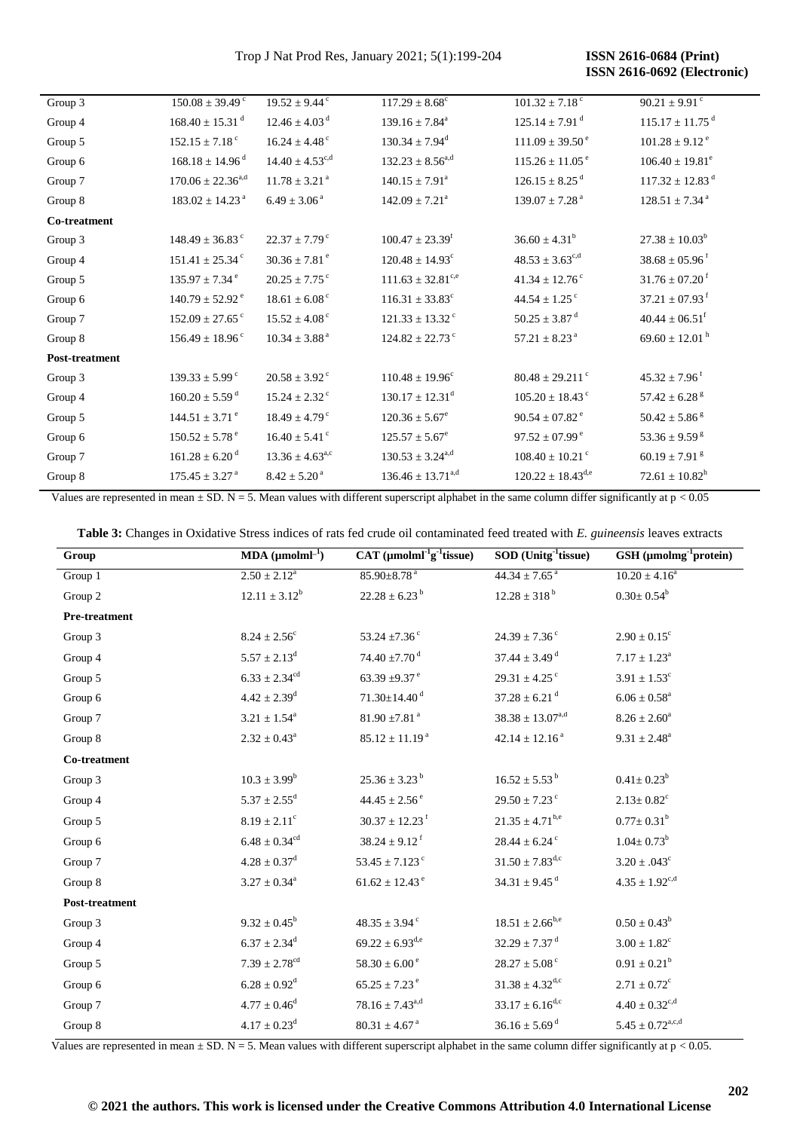Trop J Nat Prod Res, January 2021; 5(1):199-204

**ISSN 2616-0684 (Print) ISSN 2616-0692 (Electronic)** 

| Group 3        | $150.08 \pm 39.49$ <sup>c</sup> | $19.52 \pm 9.44$ <sup>c</sup> | $117.29 \pm 8.68^c$             | $101.32 \pm 7.18$ <sup>c</sup>  | $90.21 \pm 9.91$ <sup>c</sup>   |
|----------------|---------------------------------|-------------------------------|---------------------------------|---------------------------------|---------------------------------|
| Group 4        | $168.40 \pm 15.31$ <sup>d</sup> | $12.46 \pm 4.03$ <sup>d</sup> | $139.16 \pm 7.84^a$             | $125.14 \pm 7.91$ <sup>d</sup>  | $115.17 \pm 11.75$ <sup>d</sup> |
| Group 5        | $152.15 \pm 7.18$ <sup>c</sup>  | $16.24 \pm 4.48$ $^{\circ}$   | $130.34 \pm 7.94$ <sup>d</sup>  | $111.09 \pm 39.50^{\circ}$      | $101.28 \pm 9.12$ <sup>e</sup>  |
| Group 6        | $168.18 \pm 14.96$ <sup>d</sup> | $14.40 \pm 4.53^{c,d}$        | $132.23 \pm 8.56^{\rm a,d}$     | $115.26 \pm 11.05^{\circ}$      | $106.40 \pm 19.81^e$            |
| Group 7        | $170.06 \pm 22.36^{\text{a,d}}$ | $11.78 \pm 3.21$ <sup>a</sup> | $140.15 \pm 7.91^a$             | $126.15 \pm 8.25$ <sup>d</sup>  | $117.32 \pm 12.83$ <sup>d</sup> |
| Group 8        | $183.02 \pm 14.23$ <sup>a</sup> | $6.49\pm3.06^{\text{ a}}$     | $142.09 \pm 7.21^a$             | $139.07 \pm 7.28$ <sup>a</sup>  | $128.51 \pm 7.34$ <sup>a</sup>  |
| Co-treatment   |                                 |                               |                                 |                                 |                                 |
| Group 3        | $148.49 \pm 36.83$ °            | $22.37 \pm 7.79$ <sup>c</sup> | $100.47 \pm 23.39^f$            | $36.60 \pm 4.31^b$              | $27.38 \pm 10.03^b$             |
| Group 4        | $151.41 \pm 25.34$ <sup>c</sup> | $30.36\pm7.81$ $^{\rm e}$     | $120.48 \pm 14.93$ <sup>c</sup> | $48.53 \pm 3.63^{c,d}$          | $38.68 \pm 05.96$ <sup>f</sup>  |
| Group 5        | $135.97 \pm 7.34$ <sup>e</sup>  | $20.25 \pm 7.75$ <sup>c</sup> | $111.63 \pm 32.81^{\text{c,e}}$ | $41.34 \pm 12.76$ <sup>c</sup>  | $31.76 \pm 07.20$ <sup>f</sup>  |
| Group 6        | $140.79 \pm 52.92$ <sup>e</sup> | $18.61 \pm 6.08$ <sup>c</sup> | $116.31 \pm 33.83^c$            | $44.54 \pm 1.25$ <sup>c</sup>   | $37.21\pm07.93^{\text{ f}}$     |
| Group 7        | $152.09 \pm 27.65$ <sup>c</sup> | $15.52 \pm 4.08$ $^{\circ}$   | $121.33 \pm 13.32$ <sup>c</sup> | $50.25 \pm 3.87$ <sup>d</sup>   | $40.44 \pm 06.51$ <sup>f</sup>  |
| Group 8        | $156.49 \pm 18.96$ <sup>c</sup> | $10.34 \pm 3.88$ <sup>a</sup> | $124.82 \pm 22.73$ °            | $57.21 \pm 8.23$ <sup>a</sup>   | $69.60 \pm 12.01$ <sup>h</sup>  |
| Post-treatment |                                 |                               |                                 |                                 |                                 |
| Group 3        | $139.33 \pm 5.99$ <sup>c</sup>  | $20.58 \pm 3.92$ <sup>c</sup> | $110.48 \pm 19.96^c$            | $80.48 \pm 29.211$ <sup>c</sup> | $45.32 \pm 7.96$ <sup>f</sup>   |
| Group 4        | $160.20 \pm 5.59$ <sup>d</sup>  | $15.24 \pm 2.32$ <sup>c</sup> | $130.17 \pm 12.31^d$            | $105.20 \pm 18.43$ <sup>c</sup> | $57.42\pm6.28$ $^{\rm g}$       |
| Group 5        | $144.51 \pm 3.71$ <sup>e</sup>  | $18.49 \pm 4.79$ <sup>c</sup> | $120.36 \pm 5.67^e$             | $90.54 \pm 07.82$ <sup>e</sup>  | $50.42\pm5.86$ $\mathrm{^g}$    |
| Group 6        | $150.52 \pm 5.78$ <sup>e</sup>  | $16.40 \pm 5.41$ $^{\circ}$   | $125.57 \pm 5.67^e$             | $97.52 \pm 07.99$ <sup>e</sup>  | $53.36 \pm 9.59$ <sup>g</sup>   |
| Group 7        | $161.28 \pm 6.20$ <sup>d</sup>  | $13.36 \pm 4.63^{\text{a,c}}$ | $130.53 \pm 3.24^{\text{a,d}}$  | $108.40 \pm 10.21$ <sup>c</sup> | $60.19 \pm 7.91$ $^{\rm g}$     |
| Group 8        | $175.45 \pm 3.27$ <sup>a</sup>  | $8.42\pm5.20^{\,a}$           | $136.46 \pm 13.71^{\text{a,d}}$ | $120.22 \pm 18.43^{\text{d,e}}$ | $72.61 \pm 10.82^h$             |

Values are represented in mean  $\pm$  SD. N = 5. Mean values with different superscript alphabet in the same column differ significantly at p < 0.05

Table 3: Changes in Oxidative Stress indices of rats fed crude oil contaminated feed treated with E. guineensis leaves extracts

| Group          | $MDA (µmolml-1)$              | $CAT$ (µmolml <sup>-1</sup> g <sup>-1</sup> tissue) | SOD (Unitg <sup>-1</sup> tissue) | GSH (µmolmg <sup>-1</sup> protein) |
|----------------|-------------------------------|-----------------------------------------------------|----------------------------------|------------------------------------|
| Group 1        | $2.50 \pm 2.12^a$             | $85.90 \pm 8.78$ <sup>a</sup>                       | $44.34 \pm 7.65$ <sup>a</sup>    | $10.20 \pm 4.16^a$                 |
| Group 2        | $12.11 \pm 3.12^b$            | $22.28 \pm 6.23^{\mathrm{b}}$                       | $12.28 \pm 318^{\mathrm{b}}$     | $0.30 \pm 0.54^b$                  |
| Pre-treatment  |                               |                                                     |                                  |                                    |
| Group 3        | $8.24 \pm 2.56^{\circ}$       | 53.24 $\pm$ 7.36 $\degree$                          | $24.39 \pm 7.36$ <sup>c</sup>    | $2.90 \pm 0.15^c$                  |
| Group 4        | $5.57 \pm 2.13^d$             | $74.40\pm$ 7.70 $^{\rm d}$                          | $37.44 \pm 3.49$ <sup>d</sup>    | $7.17 \pm 1.23^a$                  |
| Group 5        | $6.33 \pm 2.34$ <sup>cd</sup> | 63.39 $\pm$ 9.37 $^{\circ}$                         | $29.31 \pm 4.25$ <sup>c</sup>    | $3.91 \pm 1.53^c$                  |
| Group 6        | $4.42 \pm 2.39^d$             | $71.30 \pm 14.40$ <sup>d</sup>                      | $37.28 \pm 6.21$ <sup>d</sup>    | $6.06\pm0.58^{\textrm{a}}$         |
| Group 7        | $3.21 \pm 1.54^{\text{a}}$    | $81.90 \pm 7.81$ <sup>a</sup>                       | $38.38 \pm 13.07^{\rm a,d}$      | $8.26\pm2.60^{\rm a}$              |
| Group 8        | $2.32 \pm 0.43^a$             | $85.12 \pm 11.19^{\text{a}}$                        | $42.14 \pm 12.16^{\text{a}}$     | $9.31 \pm 2.48^a$                  |
| Co-treatment   |                               |                                                     |                                  |                                    |
| Group 3        | $10.3 \pm 3.99^b$             | $25.36 \pm 3.23^{\mathrm{b}}$                       | $16.52 \pm 5.53^{\mathrm{b}}$    | $0.41 \pm 0.23^b$                  |
| Group 4        | $5.37 \pm 2.55$ <sup>d</sup>  | $44.45 \pm 2.56^{\circ}$                            | $29.50 \pm 7.23$ <sup>c</sup>    | $2.13 \pm 0.82$ <sup>c</sup>       |
| Group 5        | $8.19 \pm 2.11^{\circ}$       | $30.37 \pm 12.23$ <sup>f</sup>                      | $21.35 \pm 4.71^{b,e}$           | $0.77 \pm 0.31^b$                  |
| Group 6        | $6.48 \pm 0.34^{\rm cd}$      | $38.24 \pm 9.12$ <sup>f</sup>                       | $28.44 \pm 6.24$ <sup>c</sup>    | $1.04 \pm 0.73^b$                  |
| Group 7        | $4.28 \pm 0.37^d$             | $53.45 \pm 7.123$ <sup>c</sup>                      | $31.50 \pm 7.83^{d,c}$           | $3.20 \pm .043^c$                  |
| Group 8        | $3.27 \pm 0.34^a$             | $61.62 \pm 12.43$ <sup>e</sup>                      | $34.31 \pm 9.45$ <sup>d</sup>    | $4.35 \pm 1.92^{c,d}$              |
| Post-treatment |                               |                                                     |                                  |                                    |
| Group 3        | $9.32 \pm 0.45^b$             | $48.35 \pm 3.94$ <sup>c</sup>                       | $18.51 \pm 2.66^{b,e}$           | $0.50 \pm 0.43^b$                  |
| Group 4        | $6.37 \pm 2.34$ <sup>d</sup>  | $69.22 \pm 6.93^{\text{d,e}}$                       | $32.29 \pm 7.37$ <sup>d</sup>    | $3.00 \pm 1.82^c$                  |
| Group 5        | $7.39 \pm 2.78^{cd}$          | $58.30 \pm 6.00^{\circ}$                            | $28.27 \pm 5.08$ c               | $0.91 \pm 0.21^b$                  |
| Group 6        | $6.28 \pm 0.92^d$             | $65.25 \pm 7.23$ <sup>e</sup>                       | $31.38 \pm 4.32$ <sup>d,c</sup>  | $2.71 \pm 0.72$ <sup>c</sup>       |
| Group 7        | $4.77 \pm 0.46^{\rm d}$       | $78.16 \pm 7.43^{\text{a,d}}$                       | $33.17 \pm 6.16^{d,c}$           | $4.40\pm0.32^{\mathrm{c,d}}$       |
| Group 8        | $4.17 \pm 0.23$ <sup>d</sup>  | $80.31 \pm 4.67$ <sup>a</sup>                       | $36.16 \pm 5.69$ <sup>d</sup>    | $5.45\pm0.72^{\mathrm{a,c,d}}$     |

Values are represented in mean  $\pm$  SD. N = 5. Mean values with different superscript alphabet in the same column differ significantly at  $p < 0.05$ .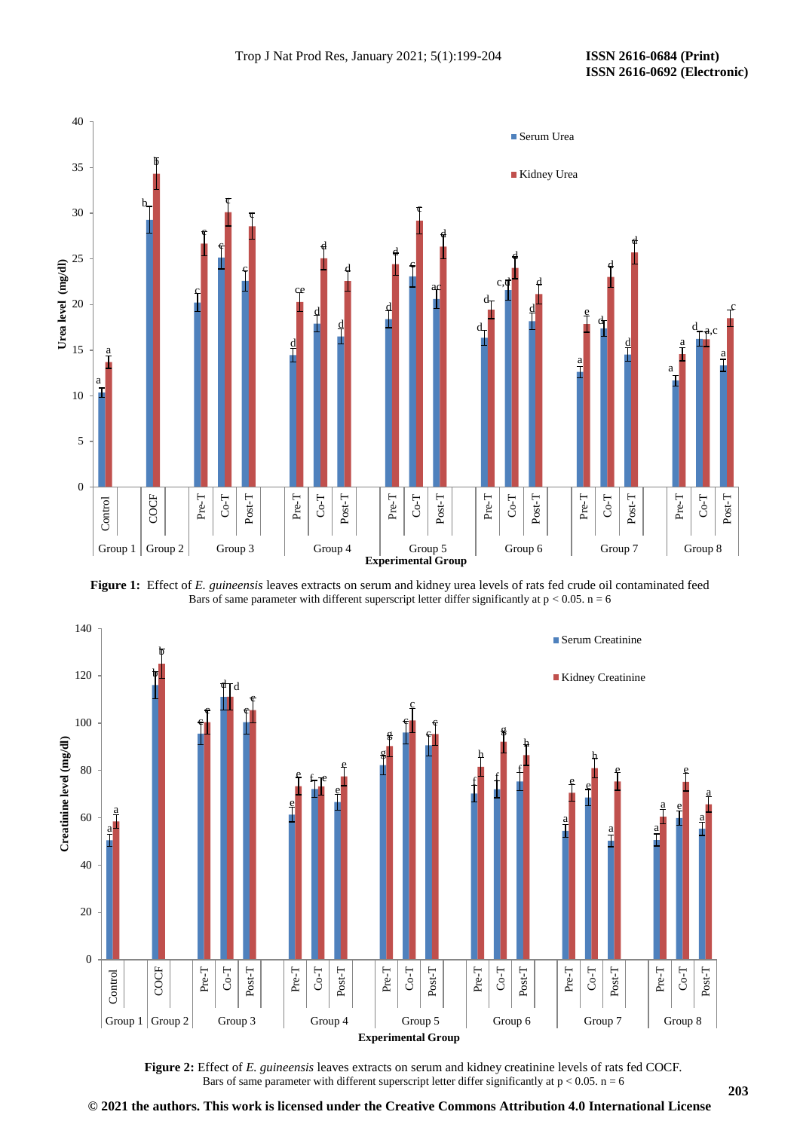

**Figure 1:** Effect of *E. guineensis* leaves extracts on serum and kidney urea levels of rats fed crude oil contaminated feed Bars of same parameter with different superscript letter differ significantly at  $p < 0.05$ .  $n = 6$ 



**Figure 2:** Effect of *E. guineensis* leaves extracts on serum and kidney creatinine levels of rats fed COCF. Bars of same parameter with different superscript letter differ significantly at  $p < 0.05$ .  $n = 6$ 

**© 2021 the authors. This work is licensed under the Creative Commons Attribution 4.0 International License**